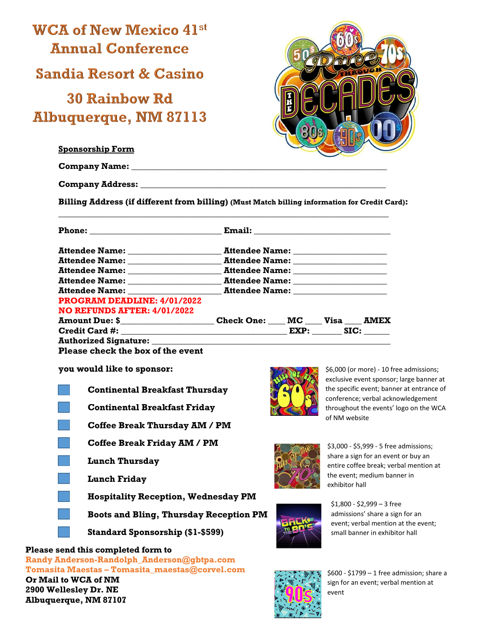

**Company Address: \_\_\_\_\_\_\_\_\_\_\_\_\_\_\_\_\_\_\_\_\_\_\_\_\_\_\_\_\_\_\_\_\_\_\_\_\_\_\_\_\_\_\_\_\_\_\_\_\_\_\_\_\_\_\_**

**Billing Address (if different from billing) (Must Match billing information for Credit Card):** 

**\_\_\_\_\_\_\_\_\_\_\_\_\_\_\_\_\_\_\_\_\_\_\_\_\_\_\_\_\_\_\_\_\_\_\_\_\_\_\_\_\_\_\_\_\_\_\_\_\_\_\_\_\_\_\_\_\_\_\_\_\_\_\_\_\_\_\_\_\_\_\_\_\_\_**

|                                                                             | Attendee Name: _____________________ |  |  |  |
|-----------------------------------------------------------------------------|--------------------------------------|--|--|--|
|                                                                             |                                      |  |  |  |
|                                                                             |                                      |  |  |  |
|                                                                             |                                      |  |  |  |
|                                                                             |                                      |  |  |  |
| <b>PROGRAM DEADLINE: 4/01/2022</b>                                          |                                      |  |  |  |
| NO REFUNDS AFTER: 4/01/2022                                                 |                                      |  |  |  |
| Amount Due: \$_______________________Check One: ____ MC ____ Visa ____ AMEX |                                      |  |  |  |
|                                                                             |                                      |  |  |  |
| <b>Authorized Signature:</b>                                                |                                      |  |  |  |

**Please check the box of the event** 

**you would like to sponsor:** 

- **Continental Breakfast Thursday**
- **Continental Breakfast Friday**
- **Coffee Break Thursday AM / PM**
- **Coffee Break Friday AM / PM**
- **Lunch Thursday**
- **Lunch Friday** 
	- **Hospitality Reception, Wednesday PM**
	- **Boots and Bling, Thursday Reception PM**
		- **Standard Sponsorship (\$1-\$599)**

## **Please send this completed form to**

**Randy Anderson-Randolph\_Anderson@gbtpa.com Tomasita Maestas – [Tomasita\\_maestas@corvel.com](mailto:Tomasita_maestas@corvel.com) Or Mail to WCA of NM 2900 Wellesley Dr. NE Albuquerque, NM 87107**



\$6,000 (or more) - 10 free admissions; exclusive event sponsor; large banner at the specific event; banner at entrance of conference; verbal acknowledgement throughout the events' logo on the WCA of NM website



\$3,000 - \$5,999 - 5 free admissions; share a sign for an event or buy an entire coffee break; verbal mention at the event; medium banner in exhibitor hall



\$1,800 - \$2,999 – 3 free admissions' share a sign for an event; verbal mention at the event; small banner in exhibitor hall



\$600 - \$1799 – 1 free admission; share a sign for an event; verbal mention at event